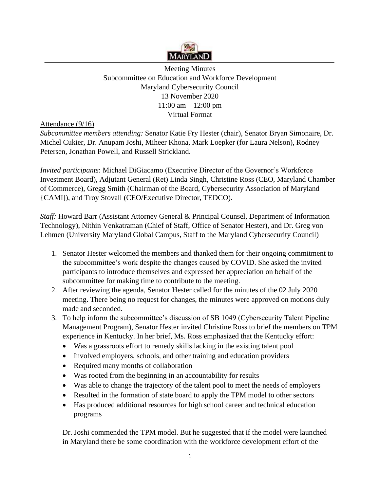

Meeting Minutes Subcommittee on Education and Workforce Development Maryland Cybersecurity Council 13 November 2020 11:00 am – 12:00 pm Virtual Format

Attendance (9/16)

*Subcommittee members attending:* Senator Katie Fry Hester (chair), Senator Bryan Simonaire, Dr. Michel Cukier, Dr. Anupam Joshi, Miheer Khona, Mark Loepker (for Laura Nelson), Rodney Petersen, Jonathan Powell, and Russell Strickland.

*Invited participants*: Michael DiGiacamo (Executive Director of the Governor's Workforce Investment Board), Adjutant General (Ret) Linda Singh, Christine Ross (CEO, Maryland Chamber of Commerce), Gregg Smith (Chairman of the Board, Cybersecurity Association of Maryland {CAMI]), and Troy Stovall (CEO/Executive Director, TEDCO).

*Staff:* Howard Barr (Assistant Attorney General & Principal Counsel, Department of Information Technology), Nithin Venkatraman (Chief of Staff, Office of Senator Hester), and Dr. Greg von Lehmen (University Maryland Global Campus, Staff to the Maryland Cybersecurity Council)

- 1. Senator Hester welcomed the members and thanked them for their ongoing commitment to the subcommittee's work despite the changes caused by COVID. She asked the invited participants to introduce themselves and expressed her appreciation on behalf of the subcommittee for making time to contribute to the meeting.
- 2. After reviewing the agenda, Senator Hester called for the minutes of the 02 July 2020 meeting. There being no request for changes, the minutes were approved on motions duly made and seconded.
- 3. To help inform the subcommittee's discussion of SB 1049 (Cybersecurity Talent Pipeline Management Program), Senator Hester invited Christine Ross to brief the members on TPM experience in Kentucky. In her brief, Ms. Ross emphasized that the Kentucky effort:
	- Was a grassroots effort to remedy skills lacking in the existing talent pool
	- Involved employers, schools, and other training and education providers
	- Required many months of collaboration
	- Was rooted from the beginning in an accountability for results
	- Was able to change the trajectory of the talent pool to meet the needs of employers
	- Resulted in the formation of state board to apply the TPM model to other sectors
	- Has produced additional resources for high school career and technical education programs

Dr. Joshi commended the TPM model. But he suggested that if the model were launched in Maryland there be some coordination with the workforce development effort of the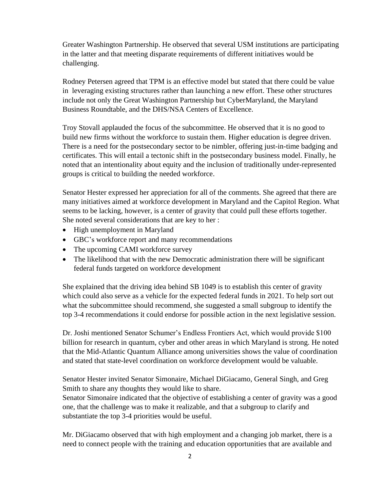Greater Washington Partnership. He observed that several USM institutions are participating in the latter and that meeting disparate requirements of different initiatives would be challenging.

Rodney Petersen agreed that TPM is an effective model but stated that there could be value in leveraging existing structures rather than launching a new effort. These other structures include not only the Great Washington Partnership but CyberMaryland, the Maryland Business Roundtable, and the DHS/NSA Centers of Excellence.

Troy Stovall applauded the focus of the subcommittee. He observed that it is no good to build new firms without the workforce to sustain them. Higher education is degree driven. There is a need for the postsecondary sector to be nimbler, offering just-in-time badging and certificates. This will entail a tectonic shift in the postsecondary business model. Finally, he noted that an intentionality about equity and the inclusion of traditionally under-represented groups is critical to building the needed workforce.

Senator Hester expressed her appreciation for all of the comments. She agreed that there are many initiatives aimed at workforce development in Maryland and the Capitol Region. What seems to be lacking, however, is a center of gravity that could pull these efforts together. She noted several considerations that are key to her :

- High unemployment in Maryland
- GBC's workforce report and many recommendations
- The upcoming CAMI workforce survey
- The likelihood that with the new Democratic administration there will be significant federal funds targeted on workforce development

She explained that the driving idea behind SB 1049 is to establish this center of gravity which could also serve as a vehicle for the expected federal funds in 2021. To help sort out what the subcommittee should recommend, she suggested a small subgroup to identify the top 3-4 recommendations it could endorse for possible action in the next legislative session.

Dr. Joshi mentioned Senator Schumer's Endless Frontiers Act, which would provide \$100 billion for research in quantum, cyber and other areas in which Maryland is strong. He noted that the Mid-Atlantic Quantum Alliance among universities shows the value of coordination and stated that state-level coordination on workforce development would be valuable.

Senator Hester invited Senator Simonaire, Michael DiGiacamo, General Singh, and Greg Smith to share any thoughts they would like to share.

Senator Simonaire indicated that the objective of establishing a center of gravity was a good one, that the challenge was to make it realizable, and that a subgroup to clarify and substantiate the top 3-4 priorities would be useful.

Mr. DiGiacamo observed that with high employment and a changing job market, there is a need to connect people with the training and education opportunities that are available and